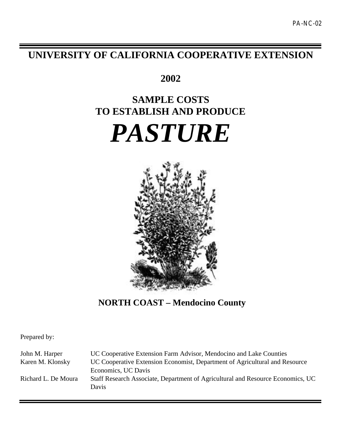# **UNIVERSITY OF CALIFORNIA COOPERATIVE EXTENSION**

**2002**

# **SAMPLE COSTS TO ESTABLISH AND PRODUCE**





**NORTH COAST – Mendocino County**

Prepared by:

John M. Harper **UC Cooperative Extension Farm Advisor**, Mendocino and Lake Counties Karen M. Klonsky UC Cooperative Extension Economist, Department of Agricultural and Resource Economics, UC Davis Richard L. De Moura Staff Research Associate, Department of Agricultural and Resource Economics, UC Davis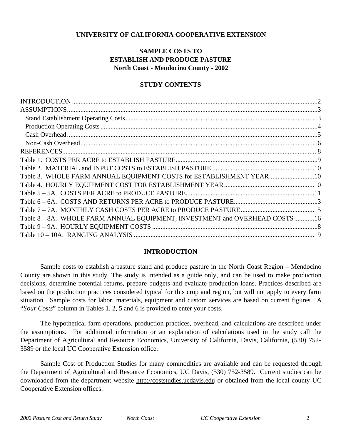# **UNIVERSITY OF CALIFORNIA COOPERATIVE EXTENSION**

# **SAMPLE COSTS TO ESTABLISH AND PRODUCE PASTURE North Coast - Mendocino County - 2002**

# **STUDY CONTENTS**

| Table 3. WHOLE FARM ANNUAL EQUIPMENT COSTS for ESTABLISHMENT YEAR10         |  |
|-----------------------------------------------------------------------------|--|
|                                                                             |  |
|                                                                             |  |
|                                                                             |  |
|                                                                             |  |
| Table 8 - 8A. WHOLE FARM ANNUAL EQUIPMENT, INVESTMENT and OVERHEAD COSTS 16 |  |
|                                                                             |  |
|                                                                             |  |
|                                                                             |  |

# **INTRODUCTION**

Sample costs to establish a pasture stand and produce pasture in the North Coast Region – Mendocino County are shown in this study. The study is intended as a guide only, and can be used to make production decisions, determine potential returns, prepare budgets and evaluate production loans. Practices described are based on the production practices considered typical for this crop and region, but will not apply to every farm situation. Sample costs for labor, materials, equipment and custom services are based on current figures. A "*Your Costs*" column in Tables 1, 2, 5 and 6 is provided to enter your costs.

The hypothetical farm operations, production practices, overhead, and calculations are described under the assumptions. For additional information or an explanation of calculations used in the study call the Department of Agricultural and Resource Economics, University of California, Davis, California, (530) 752- 3589 or the local UC Cooperative Extension office.

Sample Cost of Production Studies for many commodities are available and can be requested through the Department of Agricultural and Resource Economics, UC Davis, (530) 752-3589. Current studies can be downloaded from the department website http://coststudies.ucdavis.edu or obtained from the local county UC Cooperative Extension offices.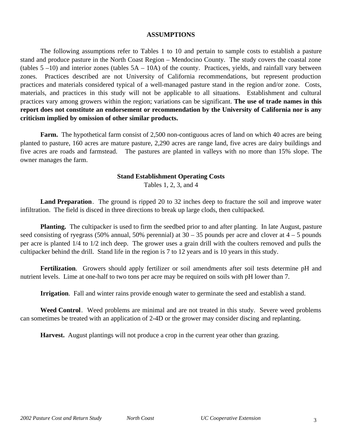# **ASSUMPTIONS**

The following assumptions refer to Tables 1 to 10 and pertain to sample costs to establish a pasture stand and produce pasture in the North Coast Region – Mendocino County. The study covers the coastal zone (tables 5 –10) and interior zones (tables 5A – 10A) of the county. Practices, yields, and rainfall vary between zones. Practices described are not University of California recommendations, but represent production practices and materials considered typical of a well-managed pasture stand in the region and/or zone. Costs, materials, and practices in this study will not be applicable to all situations.Establishment and cultural practices vary among growers within the region; variations can be significant. **The use of trade names in this report does not constitute an endorsement or recommendation by the University of California nor is any criticism implied by omission of other similar products.**

**Farm.** The hypothetical farm consist of 2,500 non-contiguous acres of land on which 40 acres are being planted to pasture, 160 acres are mature pasture, 2,290 acres are range land, five acres are dairy buildings and five acres are roads and farmstead. The pastures are planted in valleys with no more than 15% slope. The owner manages the farm.

# **Stand Establishment Operating Costs**

Tables 1, 2, 3, and 4

**Land Preparation**. The ground is ripped 20 to 32 inches deep to fracture the soil and improve water infiltration. The field is disced in three directions to break up large clods, then cultipacked.

**Planting.** The cultipacker is used to firm the seedbed prior to and after planting. In late August, pasture seed consisting of ryegrass (50% annual, 50% perennial) at  $30 - 35$  pounds per acre and clover at  $4 - 5$  pounds per acre is planted 1/4 to 1/2 inch deep. The grower uses a grain drill with the coulters removed and pulls the cultipacker behind the drill. Stand life in the region is 7 to 12 years and is 10 years in this study.

**Fertilization**. Growers should apply fertilizer or soil amendments after soil tests determine pH and nutrient levels. Lime at one-half to two tons per acre may be required on soils with pH lower than 7.

**Irrigation**. Fall and winter rains provide enough water to germinate the seed and establish a stand.

**Weed Control**. Weed problems are minimal and are not treated in this study. Severe weed problems can sometimes be treated with an application of 2-4D or the grower may consider discing and replanting.

**Harvest.** August plantings will not produce a crop in the current year other than grazing.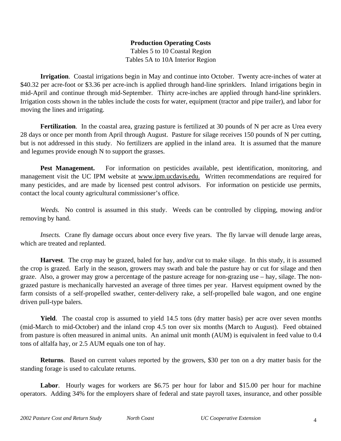# **Production Operating Costs** Tables 5 to 10 Coastal Region Tables 5A to 10A Interior Region

**Irrigation**. Coastal irrigations begin in May and continue into October. Twenty acre-inches of water at \$40.32 per acre-foot or \$3.36 per acre-inch is applied through hand-line sprinklers. Inland irrigations begin in mid-April and continue through mid-September. Thirty acre-inches are applied through hand-line sprinklers. Irrigation costs shown in the tables include the costs for water, equipment (tractor and pipe trailer), and labor for moving the lines and irrigating.

**Fertilization**. In the coastal area, grazing pasture is fertilized at 30 pounds of N per acre as Urea every 28 days or once per month from April through August. Pasture for silage receives 150 pounds of N per cutting, but is not addressed in this study. No fertilizers are applied in the inland area. It is assumed that the manure and legumes provide enough N to support the grasses.

Pest Management. For information on pesticides available, pest identification, monitoring, and management visit the UC IPM website at www.ipm.ucdavis.edu. Written recommendations are required for many pesticides, and are made by licensed pest control advisors. For information on pesticide use permits, contact the local county agricultural commissioner's office.

*Weeds.* No control is assumed in this study. Weeds can be controlled by clipping, mowing and/or removing by hand.

*Insects.* Crane fly damage occurs about once every five years. The fly larvae will denude large areas, which are treated and replanted.

**Harvest**. The crop may be grazed, baled for hay, and/or cut to make silage. In this study, it is assumed the crop is grazed. Early in the season, growers may swath and bale the pasture hay or cut for silage and then graze. Also, a grower may grow a percentage of the pasture acreage for non-grazing use – hay, silage. The nongrazed pasture is mechanically harvested an average of three times per year. Harvest equipment owned by the farm consists of a self-propelled swather, center-delivery rake, a self-propelled bale wagon, and one engine driven pull-type balers.

**Yield**. The coastal crop is assumed to yield 14.5 tons (dry matter basis) per acre over seven months (mid-March to mid-October) and the inland crop 4.5 ton over six months (March to August). Feed obtained from pasture is often measured in animal units. An animal unit month (AUM) is equivalent in feed value to 0.4 tons of alfalfa hay, or 2.5 AUM equals one ton of hay.

**Returns**. Based on current values reported by the growers, \$30 per ton on a dry matter basis for the standing forage is used to calculate returns.

Labor. Hourly wages for workers are \$6.75 per hour for labor and \$15.00 per hour for machine operators. Adding 34% for the employers share of federal and state payroll taxes, insurance, and other possible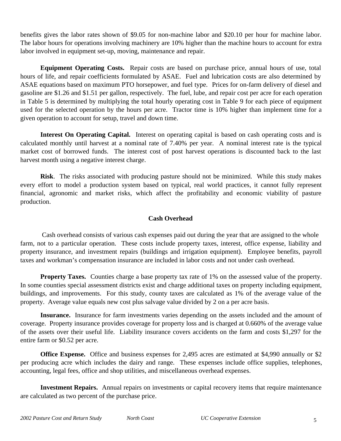benefits gives the labor rates shown of \$9.05 for non-machine labor and \$20.10 per hour for machine labor. The labor hours for operations involving machinery are 10% higher than the machine hours to account for extra labor involved in equipment set-up, moving, maintenance and repair.

**Equipment Operating Costs.** Repair costs are based on purchase price, annual hours of use, total hours of life, and repair coefficients formulated by ASAE. Fuel and lubrication costs are also determined by ASAE equations based on maximum PTO horsepower, and fuel type. Prices for on-farm delivery of diesel and gasoline are \$1.26 and \$1.51 per gallon, respectively. The fuel, lube, and repair cost per acre for each operation in Table 5 is determined by multiplying the total hourly operating cost in Table 9 for each piece of equipment used for the selected operation by the hours per acre. Tractor time is 10% higher than implement time for a given operation to account for setup, travel and down time.

**Interest On Operating Capital.**Interest on operating capital is based on cash operating costs and is calculated monthly until harvest at a nominal rate of 7.40% per year. A nominal interest rate is the typical market cost of borrowed funds. The interest cost of post harvest operations is discounted back to the last harvest month using a negative interest charge.

**Risk**. The risks associated with producing pasture should not be minimized. While this study makes every effort to model a production system based on typical, real world practices, it cannot fully represent financial, agronomic and market risks, which affect the profitability and economic viability of pasture production.

# **Cash Overhead**

 Cash overhead consists of various cash expenses paid out during the year that are assigned to the whole farm, not to a particular operation. These costs include property taxes, interest, office expense, liability and property insurance, and investment repairs (buildings and irrigation equipment). Employee benefits, payroll taxes and workman's compensation insurance are included in labor costs and not under cash overhead.

**Property Taxes.** Counties charge a base property tax rate of 1% on the assessed value of the property. In some counties special assessment districts exist and charge additional taxes on property including equipment, buildings, and improvements. For this study, county taxes are calculated as 1% of the average value of the property. Average value equals new cost plus salvage value divided by 2 on a per acre basis.

**Insurance.** Insurance for farm investments varies depending on the assets included and the amount of coverage. Property insurance provides coverage for property loss and is charged at 0.660% of the average value of the assets over their useful life. Liability insurance covers accidents on the farm and costs \$1,297 for the entire farm or \$0.52 per acre.

**Office Expense.** Office and business expenses for 2,495 acres are estimated at \$4,990 annually or \$2 per producing acre which includes the dairy and range. These expenses include office supplies, telephones, accounting, legal fees, office and shop utilities, and miscellaneous overhead expenses.

**Investment Repairs.** Annual repairs on investments or capital recovery items that require maintenance are calculated as two percent of the purchase price.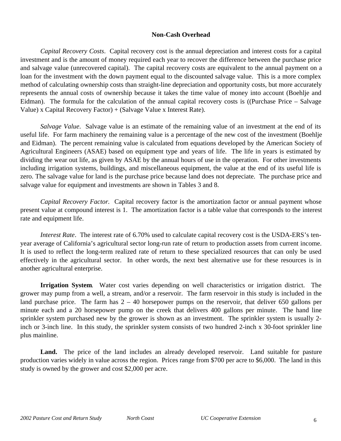# **Non-Cash Overhead**

*Capital Recovery Costs*. Capital recovery cost is the annual depreciation and interest costs for a capital investment and is the amount of money required each year to recover the difference between the purchase price and salvage value (unrecovered capital). The capital recovery costs are equivalent to the annual payment on a loan for the investment with the down payment equal to the discounted salvage value. This is a more complex method of calculating ownership costs than straight-line depreciation and opportunity costs, but more accurately represents the annual costs of ownership because it takes the time value of money into account (Boehlje and Eidman). The formula for the calculation of the annual capital recovery costs is ((Purchase Price – Salvage Value) x Capital Recovery Factor) + (Salvage Value x Interest Rate).

*Salvage Value*. Salvage value is an estimate of the remaining value of an investment at the end of its useful life. For farm machinery the remaining value is a percentage of the new cost of the investment (Boehlje and Eidman). The percent remaining value is calculated from equations developed by the American Society of Agricultural Engineers (ASAE) based on equipment type and years of life. The life in years is estimated by dividing the wear out life, as given by ASAE by the annual hours of use in the operation. For other investments including irrigation systems, buildings, and miscellaneous equipment, the value at the end of its useful life is zero. The salvage value for land is the purchase price because land does not depreciate. The purchase price and salvage value for equipment and investments are shown in Tables 3 and 8.

*Capital Recovery Factor.* Capital recovery factor is the amortization factor or annual payment whose present value at compound interest is 1. The amortization factor is a table value that corresponds to the interest rate and equipment life.

*Interest Rate*. The interest rate of 6.70% used to calculate capital recovery cost is the USDA-ERS's tenyear average of California's agricultural sector long-run rate of return to production assets from current income. It is used to reflect the long-term realized rate of return to these specialized resources that can only be used effectively in the agricultural sector. In other words, the next best alternative use for these resources is in another agricultural enterprise.

**Irrigation System**. Water cost varies depending on well characteristics or irrigation district. The grower may pump from a well, a stream, and/or a reservoir. The farm reservoir in this study is included in the land purchase price. The farm has  $2 - 40$  horsepower pumps on the reservoir, that deliver 650 gallons per minute each and a 20 horsepower pump on the creek that delivers 400 gallons per minute. The hand line sprinkler system purchased new by the grower is shown as an investment. The sprinkler system is usually 2 inch or 3-inch line. In this study, the sprinkler system consists of two hundred 2-inch x 30-foot sprinkler line plus mainline.

Land. The price of the land includes an already developed reservoir. Land suitable for pasture production varies widely in value across the region. Prices range from \$700 per acre to \$6,000. The land in this study is owned by the grower and cost \$2,000 per acre.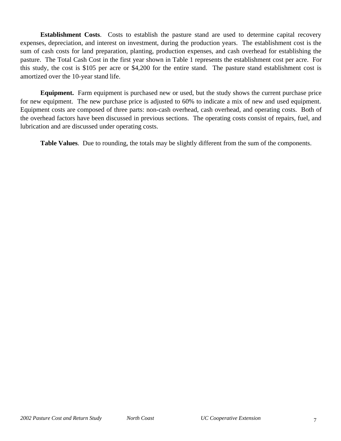**Establishment Costs**. Costs to establish the pasture stand are used to determine capital recovery expenses, depreciation, and interest on investment, during the production years. The establishment cost is the sum of cash costs for land preparation, planting, production expenses, and cash overhead for establishing the pasture. The Total Cash Cost in the first year shown in Table 1 represents the establishment cost per acre. For this study, the cost is \$105 per acre or \$4,200 for the entire stand. The pasture stand establishment cost is amortized over the 10-year stand life.

**Equipment.** Farm equipment is purchased new or used, but the study shows the current purchase price for new equipment. The new purchase price is adjusted to 60% to indicate a mix of new and used equipment. Equipment costs are composed of three parts: non-cash overhead, cash overhead, and operating costs. Both of the overhead factors have been discussed in previous sections. The operating costs consist of repairs, fuel, and lubrication and are discussed under operating costs.

**Table Values**. Due to rounding, the totals may be slightly different from the sum of the components.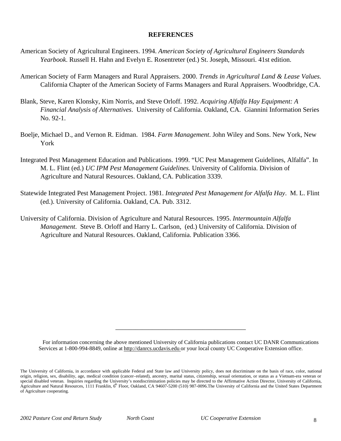# **REFERENCES**

- American Society of Agricultural Engineers. 1994. *American Society of Agricultural Engineers Standards Yearbook*. Russell H. Hahn and Evelyn E. Rosentreter (ed.) St. Joseph, Missouri. 41st edition.
- American Society of Farm Managers and Rural Appraisers. 2000. *Trends in Agricultural Land & Lease Values.* California Chapter of the American Society of Farms Managers and Rural Appraisers. Woodbridge, CA.
- Blank, Steve, Karen Klonsky, Kim Norris, and Steve Orloff. 1992. *Acquiring Alfalfa Hay Equipment: A Financial Analysis of Alternatives*. University of California. Oakland, CA. Giannini Information Series No. 92-1.
- Boelje, Michael D., and Vernon R. Eidman. 1984. *Farm Management*. John Wiley and Sons. New York, New York
- Integrated Pest Management Education and Publications. 1999. "UC Pest Management Guidelines, Alfalfa". In M. L. Flint (ed.) *UC IPM Pest Management Guidelines.* University of California. Division of Agriculture and Natural Resources. Oakland, CA. Publication 3339.
- Statewide Integrated Pest Management Project. 1981. *Integrated Pest Management for Alfalfa Hay*. M. L. Flint (ed.). University of California. Oakland, CA. Pub. 3312.
- University of California. Division of Agriculture and Natural Resources. 1995. *Intermountain Alfalfa Management*. Steve B. Orloff and Harry L. Carlson, (ed.) University of California. Division of Agriculture and Natural Resources. Oakland, California. Publication 3366.

For information concerning the above mentioned University of California publications contact UC DANR Communications Services at 1-800-994-8849, online at http://danrcs.ucdavis.edu or your local county UC Cooperative Extension office.

\_\_\_\_\_\_\_\_\_\_\_\_\_\_\_\_\_\_\_\_\_\_\_\_\_\_\_\_\_\_\_\_\_\_\_\_\_\_\_

The University of California, in accordance with applicable Federal and State law and University policy, does not discriminate on the basis of race, color, national origin, religion, sex, disability, age, medical condition (cancer–related), ancestry, marital status, citizenship, sexual orientation, or status as a Vietnam-era veteran or special disabled veteran. Inquiries regarding the University's nondiscrimination policies may be directed to the Affirmative Action Director, University of California, Agriculture and Natural Resources, 1111 Franklin, 6<sup>th</sup> Floor, Oakland, CA 94607-5200 (510) 987-0096. The University of California and the United States Department of Agriculture cooperating.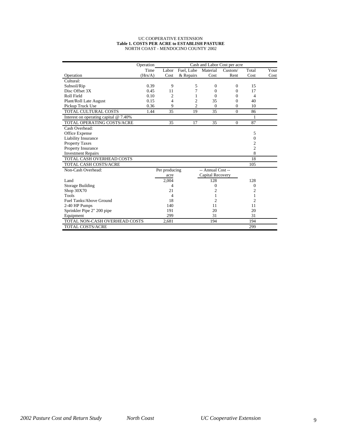#### UC COOPERATIVE EXTENSION **Table 1. COSTS PER ACRE to ESTABLISH PASTURE** NORTH COAST - MENDOCINO COUNTY 2002

|                                         | Operation |                |                |                   | Cash and Labor Cost per acre |                |      |
|-----------------------------------------|-----------|----------------|----------------|-------------------|------------------------------|----------------|------|
|                                         | Time      | Labor          | Fuel, Lube     | Material          | Custom/                      | Total          | Your |
| Operation                               | (Hrs/A)   | Cost           | & Repairs      | Cost              | Rent                         | Cost           | Cost |
| Cultural:                               |           |                |                |                   |                              |                |      |
| Subsoil/Rip                             | 0.39      | 9              | 5              | $\Omega$          | $\Omega$                     | 15             |      |
| Disc Offset 3X                          | 0.45      | 11             | 7              | $\Omega$          | $\Omega$                     | 17             |      |
| Roll Field                              | 0.10      | $\overline{c}$ | 1              | $\Omega$          | $\Omega$                     | 4              |      |
| Plant/Roll Late August                  | 0.15      | $\overline{4}$ | $\mathfrak{2}$ | 35                | $\Omega$                     | 40             |      |
| Pickup Truck Use                        | 0.36      | 9              | $\overline{c}$ | $\Omega$          | $\theta$                     | 10             |      |
| TOTAL CULTURAL COSTS                    | 1.44      | 35             | 19             | 35                | $\theta$                     | 86             |      |
| Interest on operating capital $@$ 7.40% |           |                |                |                   |                              | 1              |      |
| TOTAL OPERATING COSTS/ACRE              |           | 35             | 17             | 35                | $\Omega$                     | 87             |      |
| Cash Overhead:                          |           |                |                |                   |                              |                |      |
| Office Expense                          |           |                |                |                   |                              | 5              |      |
| Liability Insurance                     |           |                |                |                   |                              | 0              |      |
| <b>Property Taxes</b>                   |           |                |                |                   |                              | 2              |      |
| Property Insurance                      |           |                |                |                   |                              | 2              |      |
| <b>Investment Repairs</b>               |           |                |                |                   |                              | 8              |      |
| TOTAL CASH OVERHEAD COSTS               |           |                |                |                   |                              | 18             |      |
| <b>TOTAL CASH COSTS/ACRE</b>            |           |                |                |                   |                              | 105            |      |
| Non-Cash Overhead:                      |           | Per producing  |                | -- Annual Cost -- |                              |                |      |
|                                         |           | acre           |                | Capital Recovery  |                              |                |      |
| Land                                    |           | 2,004          |                | 128               |                              | 128            |      |
| <b>Storage Building</b>                 |           | 4              |                | $\boldsymbol{0}$  |                              | $\mathbf{0}$   |      |
| Shop 30X70                              |           | 21             |                | $\overline{c}$    |                              | $\overline{c}$ |      |
| Tools                                   |           | $\overline{4}$ |                | 1                 |                              | 1              |      |
| Fuel Tanks/Above Ground                 |           | 18             |                | $\overline{c}$    |                              | $\overline{2}$ |      |
| 2-40 HP Pumps                           |           | 140            |                | 11                |                              | 11             |      |
| Sprinkler Pipe 2" 200 pipe              |           | 191            |                | 20                |                              | 20             |      |
| Equipment                               |           | 299            |                | 31                |                              | 31             |      |
| TOTAL NON-CASH OVERHEAD COSTS           |           | 2,681          |                | 194               |                              | 194            |      |
| <b>TOTAL COSTS/ACRE</b>                 |           |                |                |                   |                              | 299            |      |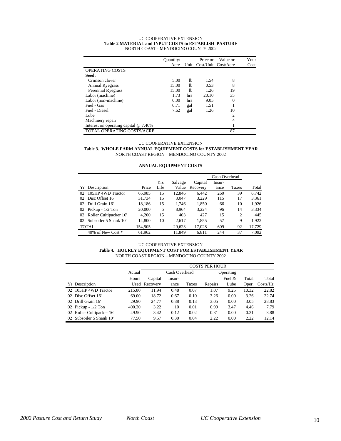|                                         | Ouantity/ |                | Price or                 | Value or       | Your |
|-----------------------------------------|-----------|----------------|--------------------------|----------------|------|
|                                         | Acre      |                | Unit Cost/Unit Cost/Acre |                | Cost |
| OPERATING COSTS                         |           |                |                          |                |      |
| Seed:                                   |           |                |                          |                |      |
| Crimson clover                          | 5.00      | 1b             | 1.54                     | 8              |      |
| <b>Annual Ryegrass</b>                  | 15.00     | 1 <sub>b</sub> | 0.53                     | 8              |      |
| Perennial Ryegrass                      | 15.00     | 1b             | 1.26                     | 19             |      |
| Labor (machine)                         | 1.73      | hrs            | 20.10                    | 35             |      |
| Labor (non-machine)                     | 0.00      | hrs            | 9.05                     | 0              |      |
| Fuel - Gas                              | 0.71      | gal            | 1.51                     |                |      |
| Fuel - Diesel                           | 7.62      | gal            | 1.26                     | 10             |      |
| Lube                                    |           |                |                          | $\overline{c}$ |      |
| Machinery repair                        |           |                |                          | 4              |      |
| Interest on operating capital $@$ 7.40% |           |                |                          |                |      |
| TOTAL OPERATING COSTS/ACRE              |           |                |                          | 87             |      |

#### UC COOPERATIVE EXTENSION **Table 2 MATERIAL and INPUT COSTS to ESTABLISH PASTURE** NORTH COAST - MENDOCINO COUNTY 2002

#### UC COOPERATIVE EXTENSION

#### **Table 3. WHOLE FARM ANNUAL EQUIPMENT COSTS for ESTABLISHMENT YEAR** NORTH COAST REGION – MENDOCINO COUNTY 2002

# **ANNUAL EQUIPMENT COSTS**

|                             |         |      |         |          | Cash Overhead |                |        |
|-----------------------------|---------|------|---------|----------|---------------|----------------|--------|
|                             |         | Yrs  | Salvage | Capital  | Insur-        |                |        |
| Yr Description              | Price   | Life | Value   | Recovery | ance          | Taxes          | Total  |
| 105HP 4WD Tractor<br>02     | 65.985  | 15   | 12.846  | 6.442    | 260           | 39             | 6.742  |
| Disc Offset 16'<br>02       | 31,734  | 15   | 3,047   | 3,229    | 115           | 17             | 3,361  |
| Drill Grain 16'<br>02       | 18.186  | 15   | 1.746   | 1,850    | 66            | 10             | 1,926  |
| Pickup - $1/2$ Ton<br>02    | 20,000  | 5    | 8.964   | 3.224    | 96            | 14             | 3.334  |
| 02 Roller Cultipacker 16'   | 4.200   | 15   | 403     | 427      | 15            | $\overline{c}$ | 445    |
| Subsoiler 5 Shank 10'<br>02 | 14.800  | 10   | 2,617   | 1,855    | 57            | 9              | 1,922  |
| <b>TOTAL</b>                | 154,905 |      | 29.623  | 17,028   | 609           | 92             | 17,729 |
| 40% of New Cost *           | 61,962  |      | 11.849  | 6.811    | 244           | 37             | 7.092  |

#### UC COOPERATIVE EXTENSION

#### **Table 4. HOURLY EQUIPMENT COST FOR ESTABLISHMENT YEAR** NORTH COAST REGION – MENDOCINO COUNTY 2002

|                           |        |               |               |       | <b>COSTS PER HOUR</b> |          |       |              |
|---------------------------|--------|---------------|---------------|-------|-----------------------|----------|-------|--------------|
|                           | Actual |               | Cash Overhead |       | Operating             |          |       |              |
|                           | Hours  | Capital       | Insur-        |       |                       | Fuel $&$ | Total | Total        |
| Yr Description            |        | Used Recovery | ance          | Taxes | Repairs               | Lube     | Oper. | $Costs/Hr$ . |
| 02 105HP 4WD Tractor      | 215.80 | 11.94         | 0.48          | 0.07  | 1.07                  | 9.25     | 10.32 | 22.82        |
| 02 Disc Offset 16'        | 69.00  | 18.72         | 0.67          | 0.10  | 3.26                  | 0.00     | 3.26  | 22.74        |
| 02 Drill Grain 16'        | 29.90  | 24.77         | 0.88          | 0.13  | 3.05                  | 0.00     | 3.05  | 28.83        |
| 02 Pickup - $1/2$ Ton     | 400.30 | 3.22          | .10           | 0.01  | 0.99                  | 3.47     | 4.46  | 7.79         |
| 02 Roller Cultipacker 16' | 49.90  | 3.42          | 0.12          | 0.02  | 0.31                  | 0.00     | 0.31  | 3.88         |
| 02 Subsoiler 5 Shank 10'  | 77.50  | 9.57          | 0.30          | 0.04  | 2.22                  | 0.00     | 2.22  | 12.14        |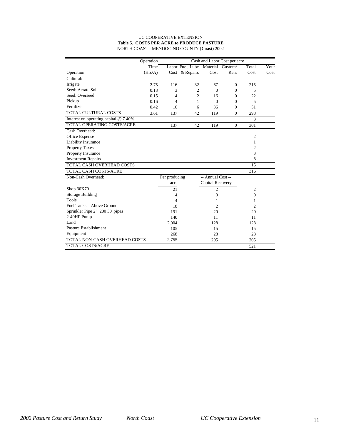## UC COOPERATIVE EXTENSION **Table 5. COSTS PER ACRE to PRODUCE PASTURE** NORTH COAST - MENDOCINO COUNTY (**Coast**) 2002

|                                         | Operation | Cash and Labor Cost per acre |                  |                   |                  |                |      |  |  |
|-----------------------------------------|-----------|------------------------------|------------------|-------------------|------------------|----------------|------|--|--|
|                                         | Time      |                              | Labor Fuel, Lube |                   | Material Custom/ | Total          | Your |  |  |
| Operation                               | (Hrs/A)   |                              | Cost & Repairs   | Cost              | Rent             | Cost           | Cost |  |  |
| Cultural:                               |           |                              |                  |                   |                  |                |      |  |  |
| Irrigate                                | 2.75      | 116                          | 32               | 67                | $\mathbf{0}$     | 215            |      |  |  |
| Seed: Aerate Soil                       | 0.13      | 3                            | $\overline{c}$   | $\Omega$          | 0                | 5              |      |  |  |
| Seed: Overseed                          | 0.15      | 4                            | $\overline{c}$   | 16                | 0                | 22             |      |  |  |
| Pickup                                  | 0.16      | 4                            | 1                | $\Omega$          | $\theta$         | 5              |      |  |  |
| Fertilize                               | 0.42      | 10                           | 6                | 36                | $\mathbf{0}$     | 51             |      |  |  |
| TOTAL CULTURAL COSTS                    | 3.61      | 137                          | 42               | 119               | $\Omega$         | 298            |      |  |  |
| Interest on operating capital $@$ 7.40% |           |                              |                  |                   |                  | 3              |      |  |  |
| TOTAL OPERATING COSTS/ACRE              |           | 137                          | 42               | 119               | $\mathbf{0}$     | 301            |      |  |  |
| Cash Overhead:                          |           |                              |                  |                   |                  |                |      |  |  |
| Office Expense                          |           |                              |                  |                   |                  | $\overline{c}$ |      |  |  |
| Liability Insurance                     |           |                              |                  |                   |                  | 1              |      |  |  |
| <b>Property Taxes</b>                   |           |                              |                  |                   |                  | $\overline{c}$ |      |  |  |
| Property Insurance                      |           |                              |                  |                   |                  | 3              |      |  |  |
| <b>Investment Repairs</b>               |           |                              |                  |                   |                  | 8              |      |  |  |
| TOTAL CASH OVERHEAD COSTS               |           |                              |                  |                   |                  | 15             |      |  |  |
| TOTAL CASH COSTS/ACRE                   |           |                              |                  |                   |                  | 316            |      |  |  |
| Non-Cash Overhead:                      |           | Per producing                |                  | -- Annual Cost -- |                  |                |      |  |  |
|                                         |           | acre                         |                  | Capital Recovery  |                  |                |      |  |  |
| Shop 30X70                              |           | 21                           |                  | 2                 |                  | 2              |      |  |  |
| <b>Storage Building</b>                 |           | 4                            |                  | $\overline{0}$    |                  | $\Omega$       |      |  |  |
| <b>Tools</b>                            |           | 4                            |                  | 1                 |                  | 1              |      |  |  |
| Fuel Tanks - Above Ground               |           | 18                           |                  | 2                 |                  | $\overline{c}$ |      |  |  |
| Sprinkler Pipe 2" 200 30' pipes         |           | 191                          |                  | 20                |                  | 20             |      |  |  |
| 2-40HP Pump                             |           | 140                          |                  | 11                |                  | 11             |      |  |  |
| Land                                    |           | 2,004                        |                  | 128               |                  | 128            |      |  |  |
| Pasture Establishment                   |           | 105                          |                  | 15                |                  | 15             |      |  |  |
| Equipment                               |           | 268                          |                  | 28                |                  | 28             |      |  |  |
| TOTAL NON-CASH OVERHEAD COSTS           |           | 2,755                        |                  | 205               |                  | 205            |      |  |  |
| <b>TOTAL COSTS/ACRE</b>                 |           |                              |                  |                   |                  | 521            |      |  |  |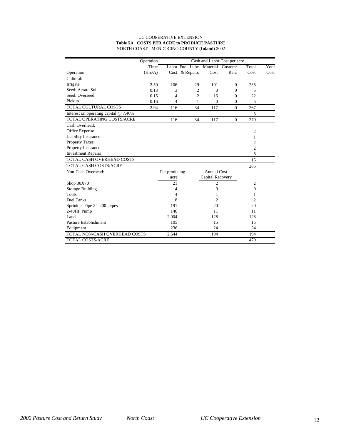### UC COOPERATIVE EXTENSION **Table 5A. COSTS PER ACRE to PRODUCE PASTURE** NORTH COAST - MENDOCINO COUNTY (**Inland**) 2002

|                                         | Operation |               |                  |                   | Cash and Labor Cost per acre |                |      |
|-----------------------------------------|-----------|---------------|------------------|-------------------|------------------------------|----------------|------|
|                                         | Time      |               | Labor Fuel, Lube |                   | Material Custom/             | Total          | Your |
| Operation                               | (Hrs/A)   | Cost          | & Repairs        | Cost              | Rent                         | Cost           | Cost |
| Cultural:                               |           |               |                  |                   |                              |                |      |
| Irrigate                                | 2.50      | 106           | 29               | 101               | $\Omega$                     | 235            |      |
| Seed: Aerate Soil                       | 0.13      | 3             | 2                | $\Omega$          | $\Omega$                     | 5              |      |
| Seed: Overseed                          | 0.15      | 4             | $\overline{c}$   | 16                | $\mathbf{0}$                 | 22             |      |
| Pickup                                  | 0.16      | 4             | 1                | $\theta$          | $\mathbf{0}$                 | 5              |      |
| <b>TOTAL CULTURAL COSTS</b>             | 2.94      | 116           | 34               | 117               | $\theta$                     | 267            |      |
| Interest on operating capital $@$ 7.40% |           |               |                  |                   |                              | 3              |      |
| TOTAL OPERATING COSTS/ACRE              |           | 116           | 34               | 117               | $\mathbf{0}$                 | 270            |      |
| Cash Overhead:                          |           |               |                  |                   |                              |                |      |
| Office Expense                          |           |               |                  |                   |                              | $\mathfrak{2}$ |      |
| Liability Insurance                     |           |               |                  |                   |                              | 1              |      |
| <b>Property Taxes</b>                   |           |               |                  |                   |                              | 2              |      |
| Property Insurance                      |           |               |                  |                   |                              | $\overline{c}$ |      |
| <b>Investment Repairs</b>               |           |               |                  |                   |                              | 8              |      |
| TOTAL CASH OVERHEAD COSTS               |           |               |                  |                   |                              | 15             |      |
| <b>TOTAL CASH COSTS/ACRE</b>            |           |               |                  |                   |                              | 285            |      |
| Non-Cash Overhead:                      |           | Per producing |                  | -- Annual Cost -- |                              |                |      |
|                                         |           | acre          |                  | Capital Recovery  |                              |                |      |
| Shop 30X70                              |           | 21            |                  | $\overline{2}$    |                              | $\overline{c}$ |      |
| <b>Storage Building</b>                 |           | 4             |                  | 0                 |                              | $\mathbf{0}$   |      |
| <b>Tools</b>                            |           | 4             |                  | 1                 |                              | 1              |      |
| <b>Fuel Tanks</b>                       |           | 18            |                  | $\overline{c}$    |                              | $\overline{c}$ |      |
| Sprinkler Pipe 2" 200 pipes             |           | 191           |                  | 20                |                              | 20             |      |
| 2-40HP Pump                             |           | 140           |                  | 11                |                              | 11             |      |
| Land                                    |           | 2,004         |                  | 128               |                              | 128            |      |
| Pasture Establishment                   |           | 105           |                  | 15                |                              | 15             |      |
| Equipment                               |           | 236           |                  | 24                |                              | 24             |      |
| TOTAL NON-CASH OVERHEAD COSTS           |           | 2,644         |                  | 194               |                              | 194            |      |
| <b>TOTAL COSTS/ACRE</b>                 |           |               |                  |                   |                              | 479            |      |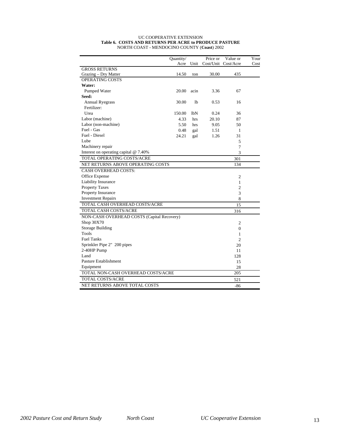#### UC COOPERATIVE EXTENSION **Table 6. COSTS AND RETURNS PER ACRE to PRODUCE PASTURE** NORTH COAST - MENDOCINO COUNTY (**Coast**) 2002

|                                            | Quantity/ |                | Price or | Value or            | Your |
|--------------------------------------------|-----------|----------------|----------|---------------------|------|
|                                            | Acre      | Unit           |          | Cost/Unit Cost/Acre | Cost |
| <b>GROSS RETURNS</b>                       |           |                |          |                     |      |
| Grazing – Dry Matter                       | 14.50     | ton            | 30.00    | 435                 |      |
| <b>OPERATING COSTS</b>                     |           |                |          |                     |      |
| Water:                                     |           |                |          |                     |      |
| Pumped Water                               | 20.00     | acin           | 3.36     | 67                  |      |
| Seed:                                      |           |                |          |                     |      |
| <b>Annual Ryegrass</b>                     | 30.00     | 1 <sub>b</sub> | 0.53     | 16                  |      |
| Fertilizer:                                |           |                |          |                     |      |
| Urea                                       | 150.00    | lbN            | 0.24     | 36                  |      |
| Labor (machine)                            | 4.33      | hrs            | 20.10    | 87                  |      |
| Labor (non-machine)                        | 5.50      | hrs            | 9.05     | 50                  |      |
| Fuel - Gas                                 | 0.48      | gal            | 1.51     | 1                   |      |
| Fuel - Diesel                              | 24.21     | gal            | 1.26     | 31                  |      |
| Lube                                       |           |                |          | 5                   |      |
| Machinery repair                           |           |                |          | 7                   |      |
| Interest on operating capital @ 7.40%      |           |                |          | 3                   |      |
| TOTAL OPERATING COSTS/ACRE                 |           |                |          | 301                 |      |
| NET RETURNS ABOVE OPERATING COSTS          |           |                |          | 134                 |      |
| <b>CASH OVERHEAD COSTS:</b>                |           |                |          |                     |      |
| Office Expense                             |           |                |          | $\overline{c}$      |      |
| Liability Insurance                        |           |                |          | 1                   |      |
| <b>Property Taxes</b>                      |           |                |          | $\overline{c}$      |      |
| Property Insurance                         |           |                |          | 3                   |      |
| <b>Investment Repairs</b>                  |           |                |          | 8                   |      |
| TOTAL CASH OVERHEAD COSTS/ACRE             |           |                |          | 15                  |      |
| <b>TOTAL CASH COSTS/ACRE</b>               |           |                |          | 316                 |      |
| NON-CASH OVERHEAD COSTS (Capital Recovery) |           |                |          |                     |      |
| Shop 30X70                                 |           |                |          | $\overline{c}$      |      |
| <b>Storage Building</b>                    |           |                |          | $\mathbf{0}$        |      |
| Tools                                      |           |                |          | 1                   |      |
| <b>Fuel Tanks</b>                          |           |                |          | $\overline{c}$      |      |
| Sprinkler Pipe 2" 200 pipes                |           |                |          | 20                  |      |
| 2-40HP Pump                                |           |                |          | 11                  |      |
| Land                                       |           |                |          | 128                 |      |
| Pasture Establishment                      |           |                |          | 15                  |      |
| Equipment                                  |           |                |          | 28                  |      |
| TOTAL NON-CASH OVERHEAD COSTS/ACRE         |           |                |          | 205                 |      |
| TOTAL COSTS/ACRE                           |           |                |          | 521                 |      |
| NET RETURNS ABOVE TOTAL COSTS              |           |                |          | $-86$               |      |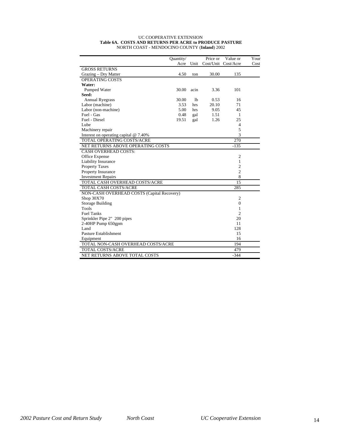#### UC COOPERATIVE EXTENSION **Table 6A. COSTS AND RETURNS PER ACRE to PRODUCE PASTURE** NORTH COAST - MENDOCINO COUNTY (**Inland**) 2002

|                                            | Quantity/ |                | Price or | Value or            | Your |
|--------------------------------------------|-----------|----------------|----------|---------------------|------|
|                                            | Acre      | Unit           |          | Cost/Unit Cost/Acre | Cost |
| <b>GROSS RETURNS</b>                       |           |                |          |                     |      |
| Grazing – Dry Matter                       | 4.50      | ton            | 30.00    | 135                 |      |
| OPERATING COSTS                            |           |                |          |                     |      |
| Water:                                     |           |                |          |                     |      |
| Pumped Water                               | 30.00     | acin           | 3.36     | 101                 |      |
| Seed:                                      |           |                |          |                     |      |
| <b>Annual Ryegrass</b>                     | 30.00     | 1 <sub>b</sub> | 0.53     | 16                  |      |
| Labor (machine)                            | 3.53      | hrs            | 20.10    | 71                  |      |
| Labor (non-machine)                        | 5.00      | hrs            | 9.05     | 45                  |      |
| Fuel - Gas                                 | 0.48      | gal            | 1.51     | 1                   |      |
| Fuel - Diesel                              | 19.51     | gal            | 1.26     | 25                  |      |
| Lube                                       |           |                |          | $\overline{4}$      |      |
| Machinery repair                           |           |                |          | 5                   |      |
| Interest on operating capital @ 7.40%      |           |                |          | 3                   |      |
| TOTAL OPERATING COSTS/ACRE                 |           |                |          | 270                 |      |
| NET RETURNS ABOVE OPERATING COSTS          |           |                |          | $-135$              |      |
| <b>CASH OVERHEAD COSTS:</b>                |           |                |          |                     |      |
| Office Expense                             |           |                |          | $\overline{c}$      |      |
| Liability Insurance                        |           |                |          | 1                   |      |
| <b>Property Taxes</b>                      |           |                |          | $\overline{c}$      |      |
| Property Insurance                         |           |                |          | $\overline{c}$      |      |
| <b>Investment Repairs</b>                  |           |                |          | 8                   |      |
| TOTAL CASH OVERHEAD COSTS/ACRE             |           |                |          | 15                  |      |
| TOTAL CASH COSTS/ACRE                      |           |                |          | 285                 |      |
| NON-CASH OVERHEAD COSTS (Capital Recovery) |           |                |          |                     |      |
| Shop 30X70                                 |           |                |          | $\overline{c}$      |      |
| <b>Storage Building</b>                    |           |                |          | $\mathbf{0}$        |      |
| <b>Tools</b>                               |           |                |          | 1                   |      |
| <b>Fuel Tanks</b>                          |           |                |          | $\overline{c}$      |      |
| Sprinkler Pipe 2" 200 pipes                |           |                |          | 20                  |      |
| 2-40HP Pump 650gpm                         |           |                |          | 11                  |      |
| Land                                       |           |                |          | 128                 |      |
| Pasture Establishment                      |           |                |          | 15                  |      |
| Equipment                                  |           |                |          | 16                  |      |
| TOTAL NON-CASH OVERHEAD COSTS/ACRE         |           |                |          | 194                 |      |
| <b>TOTAL COSTS/ACRE</b>                    |           |                |          | 479                 |      |
| <b>NET RETURNS ABOVE TOTAL COSTS</b>       |           |                |          | $-344$              |      |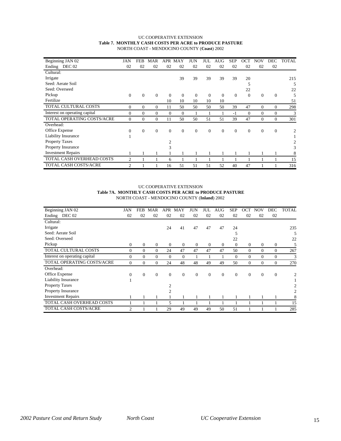## UC COOPERATIVE EXTENSION **Table 7. MONTHLY CASH COSTS PER ACRE to PRODUCE PASTURE** NORTH COAST - MENDOCINO COUNTY (**Coast**) 2002

| Beginning JAN 02              | JAN            | FEB            | MAR      | APR            | MAY          | JUN          | JUL          | AUG      | <b>SEP</b>     | OCT      | NOV          | DEC          | TOTAL |
|-------------------------------|----------------|----------------|----------|----------------|--------------|--------------|--------------|----------|----------------|----------|--------------|--------------|-------|
| DEC 02<br>Ending              | 02             | 02             | 02       | 02             | 02           | 02           | 02           | 02       | 02             | 02       | 02           | 02           |       |
| Cultural:                     |                |                |          |                |              |              |              |          |                |          |              |              |       |
| Irrigate                      |                |                |          |                | 39           | 39           | 39           | 39       | 39             | 20       |              |              | 215   |
| Seed: Aerate Soil             |                |                |          |                |              |              |              |          |                | 5        |              |              | 5     |
| Seed: Overseed                |                |                |          |                |              |              |              |          |                | 22       |              |              | 22    |
| Pickup                        | $\mathbf{0}$   | $\mathbf{0}$   | $\theta$ | $\theta$       | $\mathbf{0}$ | $\mathbf{0}$ | $\Omega$     | $\Omega$ | $\overline{0}$ | $\theta$ | $\mathbf{0}$ | $\mathbf{0}$ | 5     |
| Fertilize                     |                |                |          | 10             | 10           | 10           | 10           | 10       |                |          |              |              | 51    |
| TOTAL CULTURAL COSTS          | $\theta$       | $\overline{0}$ | $\theta$ | 11             | 50           | 50           | 50           | 50       | 39             | 47       | $\theta$     | $\mathbf{0}$ | 298   |
| Interest on operating capital | $\Omega$       | $\Omega$       | $\Omega$ | $\Omega$       | $\Omega$     |              |              |          | $-1$           | $\Omega$ | $\Omega$     | $\mathbf{0}$ | 3     |
| TOTAL OPERATING COSTS/ACRE    | $\Omega$       | $\Omega$       | $\Omega$ | 11             | 50           | 50           | 51           | 51       | 39             | 47       | $\Omega$     | $\mathbf{0}$ | 301   |
| Overhead:                     |                |                |          |                |              |              |              |          |                |          |              |              |       |
| Office Expense                | $\overline{0}$ | $\overline{0}$ | $\theta$ | $\theta$       | $\mathbf{0}$ | $\mathbf{0}$ | $\mathbf{0}$ | $\theta$ | $\theta$       | $\theta$ | $\theta$     | $\theta$     | 2     |
| Liability Insurance           |                |                |          |                |              |              |              |          |                |          |              |              |       |
| Property Taxes                |                |                |          | $\mathfrak{D}$ |              |              |              |          |                |          |              |              |       |
| Property Insurance            |                |                |          | 3              |              |              |              |          |                |          |              |              | 3     |
| <b>Investment Repairs</b>     |                |                |          |                |              |              |              |          |                |          |              |              | 8     |
| TOTAL CASH OVERHEAD COSTS     | 2              |                |          | 6              |              |              |              |          |                |          |              |              | 15    |
| TOTAL CASH COSTS/ACRE         | $\overline{c}$ |                |          | 16             | 51           | 51           | 51           | 52       | 40             | 47       |              |              | 316   |

### UC COOPERATIVE EXTENSION **Table 7A. MONTHLY CASH COSTS PER ACRE to PRODUCE PASTURE** NORTH COAST - MENDOCINO COUNTY (**Inland**) 2002

| Beginning JAN 02              | JAN            | FEB            | MAR      | APR            | MAY            | JUN            | JUL      | AUG          | <b>SEP</b>   | റവ           | NOV      | DEC              | TOTAL          |
|-------------------------------|----------------|----------------|----------|----------------|----------------|----------------|----------|--------------|--------------|--------------|----------|------------------|----------------|
| Ending DEC 02                 | 02             | 02             | 02       | 02             | 02             | 02             | 02       | 02           | 02           | 02           | 02       | 02               |                |
| Cultural:                     |                |                |          |                |                |                |          |              |              |              |          |                  |                |
| Irrigate                      |                |                |          | 24             | 41             | 47             | 47       | 47           | 24           |              |          |                  | 235            |
| Seed: Aerate Soil             |                |                |          |                |                |                |          |              | 5            |              |          |                  | 5              |
| Seed: Overseed                |                |                |          |                |                |                |          |              | 22           |              |          |                  | 22             |
| Pickup                        | $\mathbf{0}$   | $\Omega$       | $\theta$ | $\theta$       | $\overline{0}$ | $\overline{0}$ | 0        | $\mathbf{0}$ | $\mathbf{0}$ | $\mathbf{0}$ | $\theta$ | $\boldsymbol{0}$ | 5              |
| TOTAL CULTURAL COSTS          | $\mathbf{0}$   | $\overline{0}$ | $\Omega$ | 24             | 47             | 47             | 47       | 47           | 50           | $\mathbf{0}$ | $\theta$ | $\theta$         | 267            |
| Interest on operating capital | $\Omega$       | $\Omega$       | $\Omega$ | $\Omega$       | 0              |                |          |              | $\Omega$     | $\mathbf{0}$ | $\theta$ | $\theta$         | 3              |
| TOTAL OPERATING COSTS/ACRE    | $\Omega$       | $\Omega$       | $\Omega$ | 24             | 48             | 48             | 49       | 49           | 50           | $\Omega$     | $\Omega$ | $\Omega$         | 270            |
| Overhead:                     |                |                |          |                |                |                |          |              |              |              |          |                  |                |
| Office Expense                | $\mathbf{0}$   | $\theta$       | $\Omega$ | $\theta$       | $\overline{0}$ | $\overline{0}$ | $\Omega$ | $\Omega$     | $\Omega$     | $\mathbf{0}$ | $\theta$ | $\theta$         | 2              |
| <b>Liability Insurance</b>    |                |                |          |                |                |                |          |              |              |              |          |                  |                |
| Property Taxes                |                |                |          | $\overline{c}$ |                |                |          |              |              |              |          |                  | $\overline{c}$ |
| Property Insurance            |                |                |          | $\overline{c}$ |                |                |          |              |              |              |          |                  | 2              |
| <b>Investment Repairs</b>     |                |                |          |                |                |                |          |              |              |              |          |                  | 8              |
| TOTAL CASH OVERHEAD COSTS     |                |                |          | 5              |                |                |          |              |              |              |          |                  | 15             |
| TOTAL CASH COSTS/ACRE         | $\overline{c}$ |                |          | 29             | 49             | 49             | 49       | 50           | 51           |              |          |                  | 285            |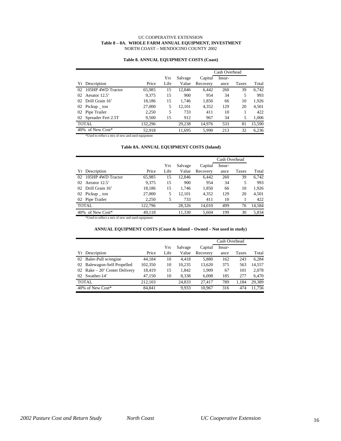### UC COOPERATIVE EXTENSION  **Table 8 – 8A. WHOLE FARM ANNUAL EQUIPMENT, INVESTMENT** NORTH COAST – MENDOCINO COUNTY 2002

#### **Table 8. ANNUAL EQUIPMENT COSTS (Coast)**

|                         |         |      |         |          | Cash Overhead |       |        |  |  |  |
|-------------------------|---------|------|---------|----------|---------------|-------|--------|--|--|--|
|                         |         | Yrs  | Salvage | Capital  | Insur-        |       |        |  |  |  |
| Yr Description          | Price   | Life | Value   | Recovery | ance          | Taxes | Total  |  |  |  |
| 105HP 4WD Tractor<br>02 | 65.985  | 15   | 12.846  | 6.442    | 260           | 39    | 6.742  |  |  |  |
| Aerator 12.5'<br>02     | 9.375   | 15   | 900     | 954      | 34            | 5     | 993    |  |  |  |
| Drill Grain 16'<br>02   | 18,186  | 15   | 1.746   | 1,850    | 66            | 10    | 1,926  |  |  |  |
| $Pickup$ ton<br>02      | 27,000  | 5    | 12.101  | 4,352    | 129           | 20    | 4,501  |  |  |  |
| Pipe Trailer<br>02      | 2,250   | 5    | 733     | 411      | 10            |       | 422    |  |  |  |
| 02 Spreader Fert 2.5T   | 9,500   | 15   | 912     | 967      | 34            | 5     | 1,006  |  |  |  |
| <b>TOTAL</b>            | 132.296 |      | 29.238  | 14.976   | 533           | 81    | 15,590 |  |  |  |
| of New Cost*<br>40%     | 52.918  |      | 11.695  | 5.990    | 213           | 32    | 6,236  |  |  |  |

\*Used to reflect a mix of new and used equipment

# **Table 8A. ANNUAL EQUIPMENT COSTS (Inland)**

|                         |         |      |         |          | Cash Overhead |       |        |
|-------------------------|---------|------|---------|----------|---------------|-------|--------|
|                         |         | Yrs  | Salvage | Capital  | Insur-        |       |        |
| Yr Description          | Price   | Life | Value   | Recovery | ance          | Taxes | Total  |
| 105HP 4WD Tractor<br>02 | 65.985  | 15   | 12.846  | 6.442    | 260           | 39    | 6.742  |
| Aerator 12.5'<br>02     | 9.375   | 15   | 900     | 954      | 34            | 5     | 993    |
| 02 Drill Grain 16'      | 18,186  | 15   | 1.746   | 1,850    | 66            | 10    | 1,926  |
| 02 Pickup _ ton         | 27,000  | 5    | 12.101  | 4,352    | 129           | 20    | 4.501  |
| 02 Pipe Trailer         | 2,250   | 5    | 733     | 411      | 10            |       | 422    |
| <b>TOTAL</b>            | 122,796 |      | 28,326  | 14,010   | 499           | 76    | 14,584 |
| 40% of New Cost*        | 49.118  |      | 11,330  | 5.604    | 199           | 30    | 5,834  |

\*Used to reflect a mix of new and used equipment

### **ANNUAL EQUIPMENT COSTS (Coast & Inland – Owned – Not used in study)**

|    |                                |         |      |         |          | Cash Overhead |       |        |
|----|--------------------------------|---------|------|---------|----------|---------------|-------|--------|
|    |                                |         | Yrs  | Salvage | Capital  | Insur-        |       |        |
|    | Yr Description                 | Price   | Life | Value   | Recovery | ance          | Taxes | Total  |
|    | 02 Baler-Pull w/engine         | 44.184  | 10   | 4.418   | 5,880    | 162           | 243   | 6.284  |
| 02 | Balewagon-Self Propelled       | 102,350 | 10   | 10.235  | 13,620   | 375           | 563   | 14,557 |
|    | 02 Rake $-20'$ Center Delivery | 18,419  | 15   | 1.842   | 1,909    | 67            | 101   | 2.078  |
| 02 | Swather-14'                    | 47.150  | 10   | 8,338   | 6,008    | 185           | 277   | 6.470  |
|    | <b>TOTAL</b>                   | 212,103 |      | 24.833  | 27.417   | 789           | 1.184 | 29.389 |
|    | 40% of New Cost*               | 84.841  |      | 9.933   | 10.967   | 316           | 474   | 11.756 |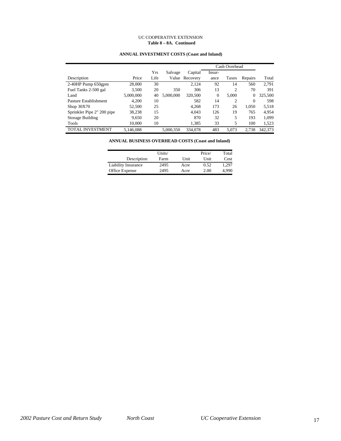## UC COOPERATIVE EXTENSION  **Table 8 – 8A. Continued**

# **ANNUAL INVESTMENT COSTS (Coast and Inland)**

|                            |           |      |           |          | Cash Overhead |                |          |         |
|----------------------------|-----------|------|-----------|----------|---------------|----------------|----------|---------|
|                            |           | Yrs  | Salvage   | Capital  | Insur-        |                |          |         |
| Description                | Price     | Life | Value     | Recovery | ance          | Taxes          | Repairs  | Total   |
| $2-40HP$ Pump 650gpm       | 28,000    | 30   |           | 2,124    | 92            | 14             | 560      | 2.791   |
| Fuel Tanks 2-500 gal       | 3,500     | 20   | 350       | 306      | 13            | $\overline{c}$ | 70       | 391     |
| Land                       | 5,000,000 | 40   | 5,000,000 | 320,500  | $\mathbf{0}$  | 5,000          | 0        | 325,500 |
| Pasture Establishment      | 4,200     | 10   |           | 582      | 14            | $\overline{c}$ | $\Omega$ | 598     |
| Shop $30X70$               | 52,500    | 25   |           | 4,268    | 173           | 26             | 1,050    | 5,518   |
| Sprinkler Pipe 2" 200 pipe | 38,238    | 15   |           | 4,043    | 126           | 19             | 765      | 4,954   |
| <b>Storage Building</b>    | 9.650     | 20   |           | 870      | 32            | 5              | 193      | 1,099   |
| Tools                      | 10.000    | 10   |           | 1,385    | 33            | 5              | 100      | 1,523   |
| <b>TOTAL INVESTMENT</b>    | 5.146.088 |      | 5.000.350 | 334,078  | 483           | 5.073          | 2.738    | 342,373 |

**ANNUAL BUSINESS OVERHEAD COSTS (Coast and Inland)**

|                            | Units/ |      | Price/ | Total |
|----------------------------|--------|------|--------|-------|
| Description                | Farm   | Unit | Unit   | Cost  |
| <b>Liability Insurance</b> | 2495   | Acre | 0.52   | 1.297 |
| Office Expense             | 2495   | Acre | 2.00   | 4.990 |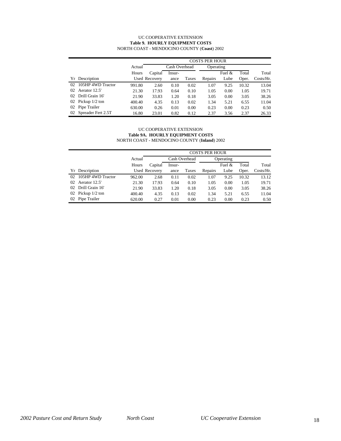### UC COOPERATIVE EXTENSION **Table 9. HOURLY EQUIPMENT COSTS** NORTH COAST - MENDOCINO COUNTY (**Coast**) 2002

|    |                       |        |               |        |       | <b>COSTS PER HOUR</b> |           |       |              |
|----|-----------------------|--------|---------------|--------|-------|-----------------------|-----------|-------|--------------|
|    |                       | Actual | Cash Overhead |        |       | Operating             |           |       |              |
|    |                       | Hours  | Capital       | Insur- |       |                       | Fuel $\&$ | Total | Total        |
|    | Yr Description        |        | Used Recovery | ance   | Taxes | Repairs               | Lube      | Oper. | $Costs/Hr$ . |
| 02 | 105HP 4WD Tractor     | 991.80 | 2.60          | 0.10   | 0.02  | 1.07                  | 9.25      | 10.32 | 13.04        |
| 02 | Aerator 12.5'         | 21.30  | 17.93         | 0.64   | 0.10  | 1.05                  | 0.00      | 1.05  | 19.71        |
| 02 | Drill Grain 16'       | 21.90  | 33.83         | 1.20   | 0.18  | 3.05                  | 0.00      | 3.05  | 38.26        |
|    | 02 Pickup 1/2 ton     | 400.40 | 4.35          | 0.13   | 0.02  | 1.34                  | 5.21      | 6.55  | 11.04        |
| 02 | Pipe Trailer          | 630.00 | 0.26          | 0.01   | 0.00  | 0.23                  | 0.00      | 0.23  | 0.50         |
|    | 02 Spreader Fert 2.5T | 16.80  | 23.01         | 0.82   | 0.12  | 2.37                  | 3.56      | 2.37  | 26.33        |

### UC COOPERATIVE EXTENSION **Table 9A. HOURLY EQUIPMENT COSTS** NORTH COAST - MENDOCINO COUNTY (**Inland**) 2002

|    |                   |        |                      | <b>COSTS PER HOUR</b> |       |         |           |       |           |  |  |  |  |
|----|-------------------|--------|----------------------|-----------------------|-------|---------|-----------|-------|-----------|--|--|--|--|
|    |                   | Actual | Cash Overhead        |                       |       |         | Operating |       |           |  |  |  |  |
|    |                   | Hours  | Capital              | Insur-                |       |         | Fuel $&$  | Total | Total     |  |  |  |  |
|    | Yr Description    |        | <b>Used Recovery</b> | ance                  | Taxes | Repairs | Lube      | Oper. | Costs/Hr. |  |  |  |  |
| 02 | 105HP 4WD Tractor | 962.00 | 2.68                 | 0.11                  | 0.02  | 1.07    | 9.25      | 10.32 | 13.12     |  |  |  |  |
| 02 | Aerator 12.5'     | 21.30  | 17.93                | 0.64                  | 0.10  | 1.05    | 0.00      | 1.05  | 19.71     |  |  |  |  |
| 02 | Drill Grain 16'   | 21.90  | 33.83                | 1.20                  | 0.18  | 3.05    | 0.00      | 3.05  | 38.26     |  |  |  |  |
| 02 | Pickup $1/2$ ton  | 400.40 | 4.35                 | 0.13                  | 0.02  | 1.34    | 5.21      | 6.55  | 11.04     |  |  |  |  |
| 02 | Pipe Trailer      | 620.00 | 0.27                 | 0.01                  | 0.00  | 0.23    | 0.00      | 0.23  | 0.50      |  |  |  |  |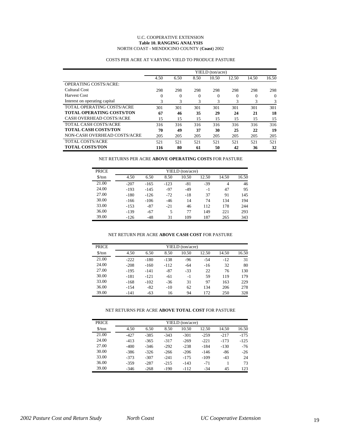### U.C. COOPERATIVE EXTENSION **Table 10. RANGING ANALYSIS** NORTH COAST - MENDOCINO COUNTY (**Coast**) 2002

|                                  |          |          |          | YIELD (ton/acre) |       |          |          |
|----------------------------------|----------|----------|----------|------------------|-------|----------|----------|
|                                  | 4.50     | 6.50     | 8.50     | 10.50            | 12.50 | 14.50    | 16.50    |
| <b>OPERATING COSTS/ACRE:</b>     |          |          |          |                  |       |          |          |
| Cultural Cost                    | 298      | 298      | 298      | 298              | 298   | 298      | 298      |
| Harvest Cost                     | $\Omega$ | $\Omega$ | $\Omega$ | $\Omega$         | 0     | $\Omega$ | $\Omega$ |
| Interest on operating capital    | 3        | 3        | 3        | 3                | 3     | 3        | 3        |
| TOTAL OPERATING COSTS/ACRE       | 301      | 301      | 301      | 301              | 301   | 301      | 301      |
| <b>TOTAL OPERATING COSTS/TON</b> | 67       | 46       | 35       | 29               | 24    | 21       | 18       |
| CASH OVERHEAD COSTS/ACRE         | 15       | 15       | 15       | 15               | 15    | 15       | 15       |
| <b>TOTAL CASH COSTS/ACRE</b>     | 316      | 316      | 316      | 316              | 316   | 316      | 316      |
| <b>TOTAL CASH COSTS/TON</b>      | 70       | 49       | 37       | 30               | 25    | 22       | 19       |
| NON-CASH OVERHEAD COSTS/ACRE     | 205      | 205      | 205      | 205              | 205   | 205      | 205      |
| <b>TOTAL COSTS/ACRE</b>          | 521      | 521      | 521      | 521              | 521   | 521      | 521      |
| <b>TOTAL COSTS/TON</b>           | 116      | 80       | 61       | 50               | 42    | 36       | 32       |

# COSTS PER ACRE AT VARYING YIELD TO PRODUCE PASTURE

NET RETURNS PER ACRE **ABOVE OPERATING COSTS** FOR PASTURE

| <b>PRICE</b>                  |        |        |        | YIELD (ton/acre) |       |                |       |
|-------------------------------|--------|--------|--------|------------------|-------|----------------|-------|
| $\frac{\text{S}}{\text{ton}}$ | 4.50   | 6.50   | 8.50   | 10.50            | 12.50 | 14.50          | 16.50 |
| 21.00                         | $-207$ | $-165$ | $-123$ | $-81$            | $-39$ | $\overline{4}$ | 46    |
| 24.00                         | $-193$ | $-145$ | $-97$  | $-49$            | $-1$  | 47             | 95    |
| 27.00                         | $-180$ | $-126$ | $-72$  | $-18$            | 37    | 91             | 145   |
| 30.00                         | $-166$ | $-106$ | $-46$  | 14               | 74    | 134            | 194   |
| 33.00                         | $-153$ | $-87$  | $-21$  | 46               | 112   | 178            | 244   |
| 36.00                         | $-139$ | $-67$  | 5      | 77               | 149   | 221            | 293   |
| 39.00                         | $-126$ | $-48$  | 31     | 109              | 187   | 265            | 343   |

## NET RETURN PER ACRE **ABOVE CASH COST** FOR PASTURE

| <b>PRICE</b>                  |        |        |        | YIELD (ton/acre) |       |       |       |
|-------------------------------|--------|--------|--------|------------------|-------|-------|-------|
| $\frac{\text{S}}{\text{ton}}$ | 4.50   | 6.50   | 8.50   | 10.50            | 12.50 | 14.50 | 16.50 |
| 21.00                         | $-222$ | $-180$ | $-138$ | $-96$            | $-54$ | $-12$ | 31    |
| 24.00                         | $-208$ | $-160$ | $-112$ | $-64$            | $-16$ | 32    | 80    |
| 27.00                         | $-195$ | $-141$ | $-87$  | $-33$            | 22    | 76    | 130   |
| 30.00                         | $-181$ | $-121$ | $-61$  | $-1$             | 59    | 119   | 179   |
| 33.00                         | $-168$ | $-102$ | $-36$  | 31               | 97    | 163   | 229   |
| 36.00                         | $-154$ | -82    | $-10$  | 62               | 134   | 206   | 278   |
| 39.00                         | $-141$ | $-63$  | 16     | 94               | 172   | 250   | 328   |

### NET RETURNS PER ACRE **ABOVE TOTAL COST** FOR PASTURE

| <b>PRICE</b>                  |        |        |        | YIELD (ton/acre) |        |        |        |
|-------------------------------|--------|--------|--------|------------------|--------|--------|--------|
| $\frac{\text{S}}{\text{ton}}$ | 4.50   | 6.50   | 8.50   | 10.50            | 12.50  | 14.50  | 16.50  |
| 21.00                         | $-427$ | $-385$ | $-343$ | $-301$           | $-259$ | $-217$ | $-175$ |
| 24.00                         | $-413$ | $-365$ | $-317$ | $-269$           | $-221$ | $-173$ | $-125$ |
| 27.00                         | $-400$ | $-346$ | $-292$ | $-238$           | $-184$ | $-130$ | $-76$  |
| 30.00                         | $-386$ | $-326$ | $-266$ | $-206$           | $-146$ | $-86$  | $-26$  |
| 33.00                         | $-373$ | $-307$ | $-241$ | $-175$           | $-109$ | $-43$  | 24     |
| 36.00                         | $-359$ | $-287$ | $-215$ | $-143$           | $-71$  |        | 73     |
| 39.00                         | $-346$ | $-268$ | $-190$ | -112             | $-34$  | 45     | 123    |